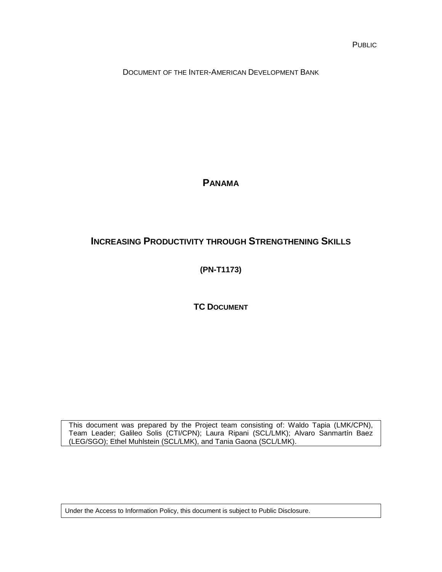PUBLIC

DOCUMENT OF THE INTER-AMERICAN DEVELOPMENT BANK

## **PANAMA**

# **INCREASING PRODUCTIVITY THROUGH STRENGTHENING SKILLS**

## **(PN-T1173)**

## **TC DOCUMENT**

This document was prepared by the Project team consisting of: Waldo Tapia (LMK/CPN), Team Leader; Galileo Solis (CTI/CPN); Laura Ripani (SCL/LMK); Alvaro Sanmartín Baez (LEG/SGO); Ethel Muhlstein (SCL/LMK), and Tania Gaona (SCL/LMK).

Under the Access to Information Policy, this document is subject to Public Disclosure.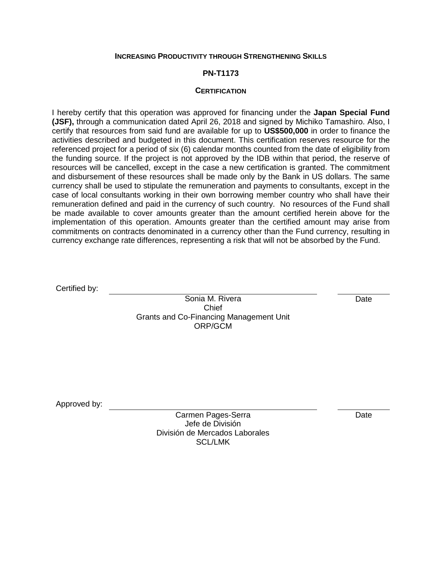#### **INCREASING PRODUCTIVITY THROUGH STRENGTHENING SKILLS**

## **PN-T1173**

#### **CERTIFICATION**

I hereby certify that this operation was approved for financing under the **Japan Special Fund (JSF),** through a communication dated April 26, 2018 and signed by Michiko Tamashiro. Also, I certify that resources from said fund are available for up to **US\$500,000** in order to finance the activities described and budgeted in this document. This certification reserves resource for the referenced project for a period of six (6) calendar months counted from the date of eligibility from the funding source. If the project is not approved by the IDB within that period, the reserve of resources will be cancelled, except in the case a new certification is granted. The commitment and disbursement of these resources shall be made only by the Bank in US dollars. The same currency shall be used to stipulate the remuneration and payments to consultants, except in the case of local consultants working in their own borrowing member country who shall have their remuneration defined and paid in the currency of such country. No resources of the Fund shall be made available to cover amounts greater than the amount certified herein above for the implementation of this operation. Amounts greater than the certified amount may arise from commitments on contracts denominated in a currency other than the Fund currency, resulting in currency exchange rate differences, representing a risk that will not be absorbed by the Fund.

Certified by:

Sonia M. Rivera Chief Grants and Co-Financing Management Unit ORP/GCM

Date

Approved by:

Carmen Pages-Serra Jefe de División División de Mercados Laborales SCL/LMK

Date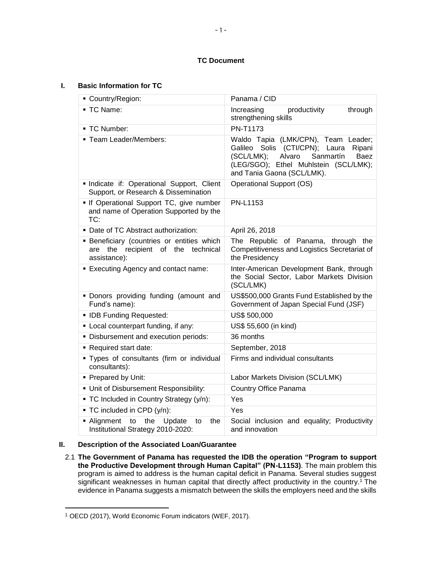#### **TC Document**

#### **I. Basic Information for TC**

| Country/Region:                                                                                                | Panama / CID                                                                                                                                                                                        |  |  |  |  |
|----------------------------------------------------------------------------------------------------------------|-----------------------------------------------------------------------------------------------------------------------------------------------------------------------------------------------------|--|--|--|--|
| ■ TC Name:                                                                                                     | productivity<br>through<br>Increasing<br>strengthening skills                                                                                                                                       |  |  |  |  |
| - TC Number:                                                                                                   | PN-T1173                                                                                                                                                                                            |  |  |  |  |
| ■ Team Leader/Members:                                                                                         | Waldo Tapia (LMK/CPN), Team Leader;<br>Galileo Solis (CTI/CPN); Laura<br>Ripani<br>(SCL/LMK);<br>Alvaro<br>Sanmartín<br>Baez<br>(LEG/SGO); Ethel Muhlstein (SCL/LMK);<br>and Tania Gaona (SCL/LMK). |  |  |  |  |
| · Indicate if: Operational Support, Client<br>Support, or Research & Dissemination                             | <b>Operational Support (OS)</b>                                                                                                                                                                     |  |  |  |  |
| • If Operational Support TC, give number<br>and name of Operation Supported by the<br>TC:                      | PN-L1153                                                                                                                                                                                            |  |  |  |  |
| • Date of TC Abstract authorization:                                                                           | April 26, 2018                                                                                                                                                                                      |  |  |  |  |
| <b>Beneficiary (countries or entities which</b><br>recipient of the<br>technical<br>the<br>are<br>assistance): | The Republic of Panama, through the<br>Competitiveness and Logistics Secretariat of<br>the Presidency                                                                                               |  |  |  |  |
| <b>Executing Agency and contact name:</b>                                                                      | Inter-American Development Bank, through<br>the Social Sector, Labor Markets Division<br>(SCL/LMK)                                                                                                  |  |  |  |  |
| • Donors providing funding (amount and<br>Fund's name):                                                        | US\$500,000 Grants Fund Established by the<br>Government of Japan Special Fund (JSF)                                                                                                                |  |  |  |  |
| • IDB Funding Requested:                                                                                       | US\$ 500,000                                                                                                                                                                                        |  |  |  |  |
| • Local counterpart funding, if any:                                                                           | US\$ 55,600 (in kind)                                                                                                                                                                               |  |  |  |  |
| · Disbursement and execution periods:                                                                          | 36 months                                                                                                                                                                                           |  |  |  |  |
| Required start date:                                                                                           | September, 2018                                                                                                                                                                                     |  |  |  |  |
| • Types of consultants (firm or individual<br>consultants):                                                    | Firms and individual consultants                                                                                                                                                                    |  |  |  |  |
| • Prepared by Unit:                                                                                            | Labor Markets Division (SCL/LMK)                                                                                                                                                                    |  |  |  |  |
| • Unit of Disbursement Responsibility:                                                                         | Country Office Panama                                                                                                                                                                               |  |  |  |  |
| • TC Included in Country Strategy (y/n):                                                                       | Yes                                                                                                                                                                                                 |  |  |  |  |
| ■ TC included in CPD (y/n):                                                                                    | Yes                                                                                                                                                                                                 |  |  |  |  |
| to<br>the Update<br>• Alignment<br>the<br>to<br>Institutional Strategy 2010-2020:                              | Social inclusion and equality; Productivity<br>and innovation                                                                                                                                       |  |  |  |  |

#### **II. Description of the Associated Loan/Guarantee**

2.1 **The Government of Panama has requested the IDB the operation "Program to support the Productive Development through Human Capital" (PN-L1153)**. The main problem this program is aimed to address is the human capital deficit in Panama. Several studies suggest significant weaknesses in human capital that directly affect productivity in the country. <sup>1</sup> The evidence in Panama suggests a mismatch between the skills the employers need and the skills

 $\overline{\phantom{a}}$ 

<sup>1</sup> OECD (2017), World Economic Forum indicators (WEF, 2017).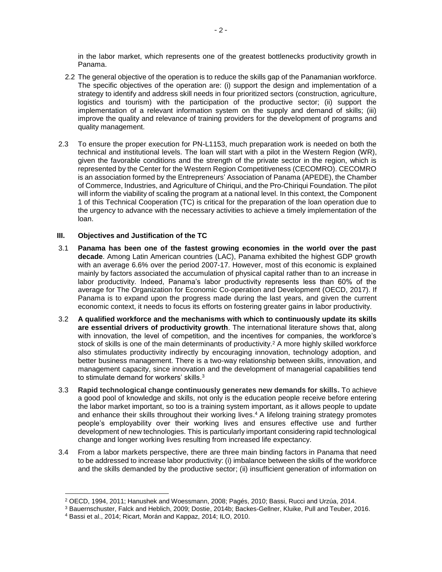in the labor market, which represents one of the greatest bottlenecks productivity growth in Panama.

- 2.2 The general objective of the operation is to reduce the skills gap of the Panamanian workforce. The specific objectives of the operation are: (i) support the design and implementation of a strategy to identify and address skill needs in four prioritized sectors (construction, agriculture, logistics and tourism) with the participation of the productive sector; (ii) support the implementation of a relevant information system on the supply and demand of skills; (iii) improve the quality and relevance of training providers for the development of programs and quality management.
- 2.3 To ensure the proper execution for PN-L1153, much preparation work is needed on both the technical and institutional levels. The loan will start with a pilot in the Western Region (WR), given the favorable conditions and the strength of the private sector in the region, which is represented by the Center for the Western Region Competitiveness (CECOMRO). CECOMRO is an association formed by the Entrepreneurs' Association of Panama (APEDE), the Chamber of Commerce, Industries, and Agriculture of Chiriqui, and the Pro-Chiriqui Foundation. The pilot will inform the viability of scaling the program at a national level. In this context, the Component 1 of this Technical Cooperation (TC) is critical for the preparation of the loan operation due to the urgency to advance with the necessary activities to achieve a timely implementation of the loan.

#### **III. Objectives and Justification of the TC**

- 3.1 **Panama has been one of the fastest growing economies in the world over the past decade**. Among Latin American countries (LAC), Panama exhibited the highest GDP growth with an average 6.6% over the period 2007-17. However, most of this economic is explained mainly by factors associated the accumulation of physical capital rather than to an increase in labor productivity. Indeed, Panama's labor productivity represents less than 60% of the average for The Organization for Economic Co-operation and Development (OECD, 2017). If Panama is to expand upon the progress made during the last years, and given the current economic context, it needs to focus its efforts on fostering greater gains in labor productivity.
- 3.2 **A qualified workforce and the mechanisms with which to continuously update its skills are essential drivers of productivity growth**. The international literature shows that, along with innovation, the level of competition, and the incentives for companies, the workforce's stock of skills is one of the main determinants of productivity. <sup>2</sup> A more highly skilled workforce also stimulates productivity indirectly by encouraging innovation, technology adoption, and better business management. There is a two-way relationship between skills, innovation, and management capacity, since innovation and the development of managerial capabilities tend to stimulate demand for workers' skills. 3
- 3.3 **Rapid technological change continuously generates new demands for skills.** To achieve a good pool of knowledge and skills, not only is the education people receive before entering the labor market important, so too is a training system important, as it allows people to update and enhance their skills throughout their working lives. <sup>4</sup> A lifelong training strategy promotes people's employability over their working lives and ensures effective use and further development of new technologies. This is particularly important considering rapid technological change and longer working lives resulting from increased life expectancy.
- 3.4 From a labor markets perspective, there are three main binding factors in Panama that need to be addressed to increase labor productivity: (i) imbalance between the skills of the workforce and the skills demanded by the productive sector; (ii) insufficient generation of information on

 $\overline{\phantom{a}}$ 

<sup>2</sup> OECD, 1994, 2011; Hanushek and Woessmann, 2008; Pagés, 2010; Bassi, Rucci and Urzúa, 2014.

<sup>3</sup> Bauernschuster, Falck and Heblich, 2009; Dostie, 2014b; Backes-Gellner, Kluike, Pull and Teuber, 2016.

<sup>4</sup> Bassi et al., 2014; Ricart, Morán and Kappaz, 2014; ILO, 2010.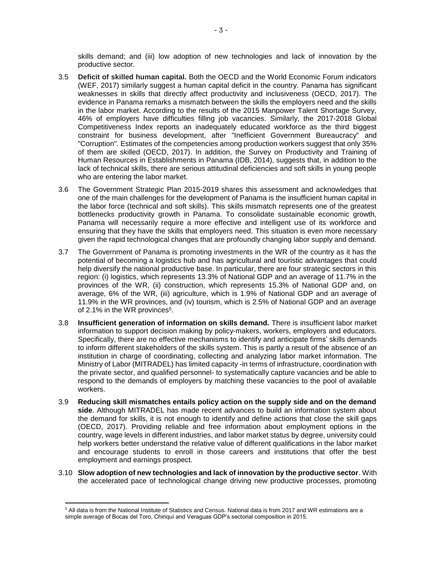skills demand; and (iii) low adoption of new technologies and lack of innovation by the productive sector.

- 3.5 **Deficit of skilled human capital.** Both the OECD and the World Economic Forum indicators (WEF, 2017) similarly suggest a human capital deficit in the country. Panama has significant weaknesses in skills that directly affect productivity and inclusiveness (OECD, 2017). The evidence in Panama remarks a mismatch between the skills the employers need and the skills in the labor market. According to the results of the 2015 Manpower Talent Shortage Survey, 46% of employers have difficulties filling job vacancies. Similarly, the 2017-2018 Global Competitiveness Index reports an inadequately educated workforce as the third biggest constraint for business development, after "Inefficient Government Bureaucracy" and "Corruption". Estimates of the competencies among production workers suggest that only 35% of them are skilled (OECD, 2017). In addition, the Survey on Productivity and Training of Human Resources in Establishments in Panama (IDB, 2014), suggests that, in addition to the lack of technical skills, there are serious attitudinal deficiencies and soft skills in young people who are entering the labor market.
- 3.6 The Government Strategic Plan 2015-2019 shares this assessment and acknowledges that one of the main challenges for the development of Panama is the insufficient human capital in the labor force (technical and soft skills). This skills mismatch represents one of the greatest bottlenecks productivity growth in Panama. To consolidate sustainable economic growth, Panama will necessarily require a more effective and intelligent use of its workforce and ensuring that they have the skills that employers need. This situation is even more necessary given the rapid technological changes that are profoundly changing labor supply and demand.
- 3.7 The Government of Panama is promoting investments in the WR of the country as it has the potential of becoming a logistics hub and has agricultural and touristic advantages that could help diversify the national productive base. In particular, there are four strategic sectors in this region: (i) logistics, which represents 13.3% of National GDP and an average of 11.7% in the provinces of the WR, (ii) construction, which represents 15.3% of National GDP and, on average, 6% of the WR, (iii) agriculture, which is 1.9% of National GDP and an average of 11.9% in the WR provinces, and (iv) tourism, which is 2.5% of National GDP and an average of 2.1% in the WR provinces<sup>5</sup>.
- 3.8 **Insufficient generation of information on skills demand.** There is insufficient labor market information to support decision making by policy-makers, workers, employers and educators. Specifically, there are no effective mechanisms to identify and anticipate firms' skills demands to inform different stakeholders of the skills system. This is partly a result of the absence of an institution in charge of coordinating, collecting and analyzing labor market information. The Ministry of Labor (MITRADEL) has limited capacity -in terms of infrastructure, coordination with the private sector, and qualified personnel- to systematically capture vacancies and be able to respond to the demands of employers by matching these vacancies to the pool of available workers.
- 3.9 **Reducing skill mismatches entails policy action on the supply side and on the demand side**. Although MITRADEL has made recent advances to build an information system about the demand for skills, it is not enough to identify and define actions that close the skill gaps (OECD, 2017). Providing reliable and free information about employment options in the country, wage levels in different industries, and labor market status by degree, university could help workers better understand the relative value of different qualifications in the labor market and encourage students to enroll in those careers and institutions that offer the best employment and earnings prospect.
- 3.10 **Slow adoption of new technologies and lack of innovation by the productive sector**. With the accelerated pace of technological change driving new productive processes, promoting

 $\overline{\phantom{a}}$ 

<sup>5</sup> All data is from the National Institute of Statistics and Census. National data is from 2017 and WR estimations are a simple average of Bocas del Toro, Chiriquí and Veraguas GDP's sectorial composition in 2015.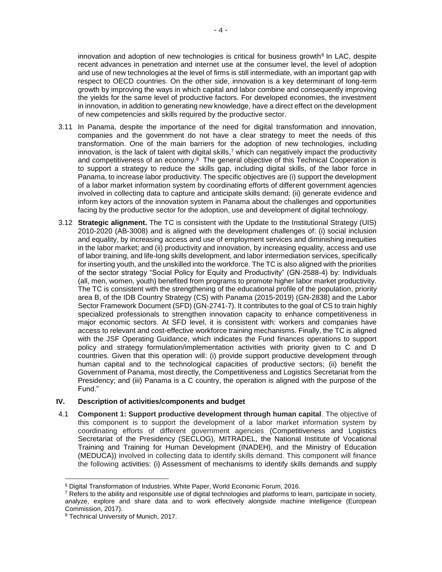innovation and adoption of new technologies is critical for business growth<sup>6</sup> In LAC, despite recent advances in penetration and internet use at the consumer level, the level of adoption and use of new technologies at the level of firms is still intermediate, with an important gap with respect to OECD countries. On the other side, innovation is a key determinant of long-term growth by improving the ways in which capital and labor combine and consequently improving the yields for the same level of productive factors. For developed economies, the investment in innovation, in addition to generating new knowledge, have a direct effect on the development of new competencies and skills required by the productive sector.

- 3.11 In Panama, despite the importance of the need for digital transformation and innovation, companies and the government do not have a clear strategy to meet the needs of this transformation. One of the main barriers for the adoption of new technologies, including innovation, is the lack of talent with digital skills, <sup>7</sup> which can negatively impact the productivity and competitiveness of an economy.<sup>8</sup> The general objective of this Technical Cooperation is to support a strategy to reduce the skills gap, including digital skills, of the labor force in Panama, to increase labor productivity. The specific objectives are (i) support the development of a labor market information system by coordinating efforts of different government agencies involved in collecting data to capture and anticipate skills demand; (ii) generate evidence and inform key actors of the innovation system in Panama about the challenges and opportunities facing by the productive sector for the adoption, use and development of digital technology.
- 3.12 **Strategic alignment.** The TC is consistent with the Update to the Institutional Strategy (UIS) 2010-2020 (AB-3008) and is aligned with the development challenges of: (i) social inclusion and equality, by increasing access and use of employment services and diminishing inequities in the labor market; and (ii) productivity and innovation, by increasing equality, access and use of labor training, and life-long skills development, and labor intermediation services, specifically for inserting youth, and the unskilled into the workforce. The TC is also aligned with the priorities of the sector strategy "Social Policy for Equity and Productivity" (GN-2588-4) by: Individuals (all, men, women, youth) benefited from programs to promote higher labor market productivity. The TC is consistent with the strengthening of the educational profile of the population, priority area B, of the IDB Country Strategy (CS) with Panama (2015-2019) (GN-2838) and the Labor Sector Framework Document (SFD) (GN-2741-7). It contributes to the goal of CS to train highly specialized professionals to strengthen innovation capacity to enhance competitiveness in major economic sectors. At SFD level, it is consistent with: workers and companies have access to relevant and cost-effective workforce training mechanisms. Finally, the TC is aligned with the JSF Operating Guidance, which indicates the Fund finances operations to support policy and strategy formulation/implementation activities with priority given to C and D countries. Given that this operation will: (i) provide support productive development through human capital and to the technological capacities of productive sectors; (ii) benefit the Government of Panama, most directly, the Competitiveness and Logistics Secretariat from the Presidency; and (iii) Panama is a C country, the operation is aligned with the purpose of the Fund."

### **IV. Description of activities/components and budget**

4.1 **Component 1: Support productive development through human capital**. The objective of this component is to support the development of a labor market information system by coordinating efforts of different government agencies (Competitiveness and Logistics Secretariat of the Presidency (SECLOG), MITRADEL, the National Institute of Vocational Training and Training for Human Development (INADEH), and the Ministry of Education (MEDUCA)) involved in collecting data to identify skills demand. This component will finance the following activities: (i) Assessment of mechanisms to identify skills demands and supply

 $\overline{\phantom{a}}$ <sup>6</sup> Digital Transformation of Industries. White Paper, World Economic Forum, 2016.

 $7$  Refers to the ability and responsible use of digital technologies and platforms to learn, participate in society, analyze, explore and share data and to work effectively alongside machine intelligence (European Commission, 2017).

<sup>8</sup> Technical University of Munich, 2017.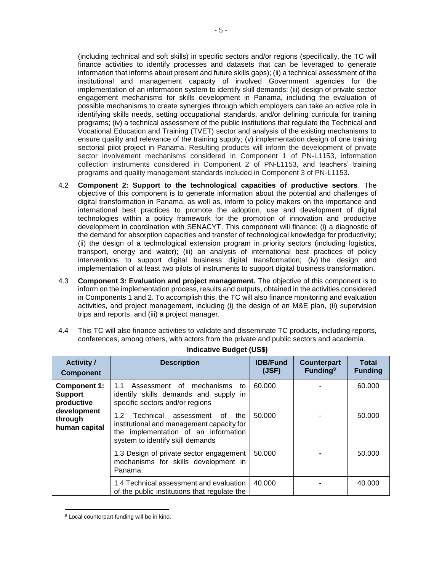(including technical and soft skills) in specific sectors and/or regions (specifically, the TC will finance activities to identify processes and datasets that can be leveraged to generate information that informs about present and future skills gaps); (ii) a technical assessment of the institutional and management capacity of involved Government agencies for the implementation of an information system to identify skill demands; (iii) design of private sector engagement mechanisms for skills development in Panama, including the evaluation of possible mechanisms to create synergies through which employers can take an active role in identifying skills needs, setting occupational standards, and/or defining curricula for training programs; (iv) a technical assessment of the public institutions that regulate the Technical and Vocational Education and Training (TVET) sector and analysis of the existing mechanisms to ensure quality and relevance of the training supply; (v) implementation design of one training sectorial pilot project in Panama. Resulting products will inform the development of private sector involvement mechanisms considered in Component 1 of PN-L1153, information collection instruments considered in Component 2 of PN-L1153, and teachers' training programs and quality management standards included in Component 3 of PN-L1153.

- 4.2 **Component 2: Support to the technological capacities of productive sectors**. The objective of this component is to generate information about the potential and challenges of digital transformation in Panama, as well as, inform to policy makers on the importance and international best practices to promote the adoption, use and development of digital technologies within a policy framework for the promotion of innovation and productive development in coordination with SENACYT. This component will finance: (i) a diagnostic of the demand for absorption capacities and transfer of technological knowledge for productivity; (ii) the design of a technological extension program in priority sectors (including logistics, transport, energy and water); (iii) an analysis of international best practices of policy interventions to support digital business digital transformation; (iv) the design and implementation of at least two pilots of instruments to support digital business transformation.
- 4.3 **Component 3: Evaluation and project management.** The objective of this component is to inform on the implementation process, results and outputs, obtained in the activities considered in Components 1 and 2. To accomplish this, the TC will also finance monitoring and evaluation activities, and project management, including (i) the design of an M&E plan, (ii) supervision trips and reports, and (iii) a project manager.
- 4.4 This TC will also finance activities to validate and disseminate TC products, including reports, conferences, among others, with actors from the private and public sectors and academia.

| <b>Activity /</b><br><b>Component</b>                                                          | <b>Description</b>                                                                                                                                                             | <b>IDB/Fund</b><br>(JSF) | Counterpart<br><b>Funding</b> <sup>9</sup> | Total<br><b>Funding</b> |
|------------------------------------------------------------------------------------------------|--------------------------------------------------------------------------------------------------------------------------------------------------------------------------------|--------------------------|--------------------------------------------|-------------------------|
| <b>Component 1:</b><br><b>Support</b><br>productive<br>development<br>through<br>human capital | Assessment of mechanisms<br>11<br>to<br>identify skills demands and supply in<br>specific sectors and/or regions                                                               | 60.000                   |                                            | 60.000                  |
|                                                                                                | Technical<br>1.2 <sub>1</sub><br>assessment of<br>the<br>institutional and management capacity for<br>the implementation of an information<br>system to identify skill demands | 50.000                   |                                            | 50.000                  |
|                                                                                                | 1.3 Design of private sector engagement<br>mechanisms for skills development in<br>Panama.                                                                                     | 50.000                   |                                            | 50.000                  |
|                                                                                                | 1.4 Technical assessment and evaluation<br>of the public institutions that regulate the                                                                                        | 40.000                   |                                            | 40.000                  |

## **Indicative Budget (US\$)**

 $\overline{a}$ <sup>9</sup> Local counterpart funding will be in kind.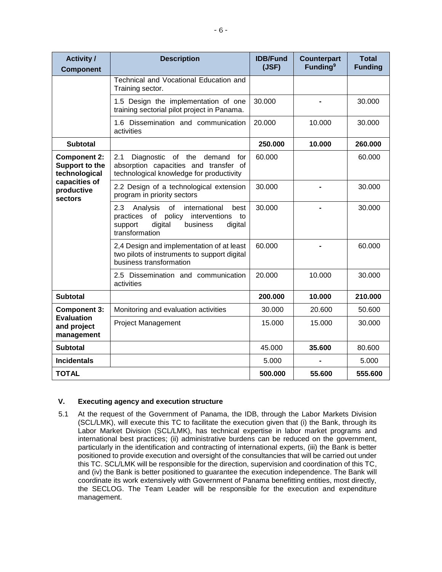| <b>Activity /</b><br><b>Component</b>                                                            | <b>Description</b>                                                                                                                                             | <b>IDB/Fund</b><br>(JSF) | <b>Counterpart</b><br>Funding <sup>9</sup> | <b>Total</b><br><b>Funding</b> |
|--------------------------------------------------------------------------------------------------|----------------------------------------------------------------------------------------------------------------------------------------------------------------|--------------------------|--------------------------------------------|--------------------------------|
|                                                                                                  | Technical and Vocational Education and<br>Training sector.                                                                                                     |                          |                                            |                                |
|                                                                                                  | 1.5 Design the implementation of one<br>training sectorial pilot project in Panama.                                                                            | 30.000                   |                                            | 30.000                         |
|                                                                                                  | 1.6 Dissemination and communication<br>activities                                                                                                              | 20.000                   | 10.000                                     | 30.000                         |
| <b>Subtotal</b>                                                                                  |                                                                                                                                                                | 250.000                  | 10.000                                     | 260.000                        |
| <b>Component 2:</b><br>Support to the<br>technological<br>capacities of<br>productive<br>sectors | Diagnostic of the<br>2.1<br>demand for<br>absorption capacities and transfer of<br>technological knowledge for productivity                                    | 60.000                   |                                            | 60.000                         |
|                                                                                                  | 2.2 Design of a technological extension<br>program in priority sectors                                                                                         | 30.000                   |                                            | 30.000                         |
|                                                                                                  | of<br>2.3<br>Analysis<br>international<br>best<br>policy<br>practices<br>of<br>interventions to<br>support<br>digital<br>business<br>digital<br>transformation | 30.000                   |                                            | 30.000                         |
|                                                                                                  | 2,4 Design and implementation of at least<br>two pilots of instruments to support digital<br>business transformation                                           | 60.000                   |                                            | 60.000                         |
|                                                                                                  | 2.5 Dissemination and communication<br>activities                                                                                                              | 20.000                   | 10.000                                     | 30.000                         |
| <b>Subtotal</b>                                                                                  |                                                                                                                                                                | 200.000                  | 10.000                                     | 210.000                        |
| <b>Component 3:</b><br><b>Evaluation</b><br>and project<br>management                            | Monitoring and evaluation activities                                                                                                                           | 30.000                   | 20.600                                     | 50.600                         |
|                                                                                                  | Project Management                                                                                                                                             | 15.000                   | 15.000                                     | 30.000                         |
| <b>Subtotal</b>                                                                                  |                                                                                                                                                                | 45.000                   | 35.600                                     | 80.600                         |
| <b>Incidentals</b>                                                                               |                                                                                                                                                                | 5.000                    |                                            | 5.000                          |
| <b>TOTAL</b>                                                                                     |                                                                                                                                                                | 500.000                  | 55.600                                     | 555.600                        |

### **V. Executing agency and execution structure**

5.1 At the request of the Government of Panama, the IDB, through the Labor Markets Division (SCL/LMK), will execute this TC to facilitate the execution given that (i) the Bank, through its Labor Market Division (SCL/LMK), has technical expertise in labor market programs and international best practices; (ii) administrative burdens can be reduced on the government, particularly in the identification and contracting of international experts, (iii) the Bank is better positioned to provide execution and oversight of the consultancies that will be carried out under this TC. SCL/LMK will be responsible for the direction, supervision and coordination of this TC, and (iv) the Bank is better positioned to guarantee the execution independence. The Bank will coordinate its work extensively with Government of Panama benefitting entities, most directly, the SECLOG. The Team Leader will be responsible for the execution and expenditure management.